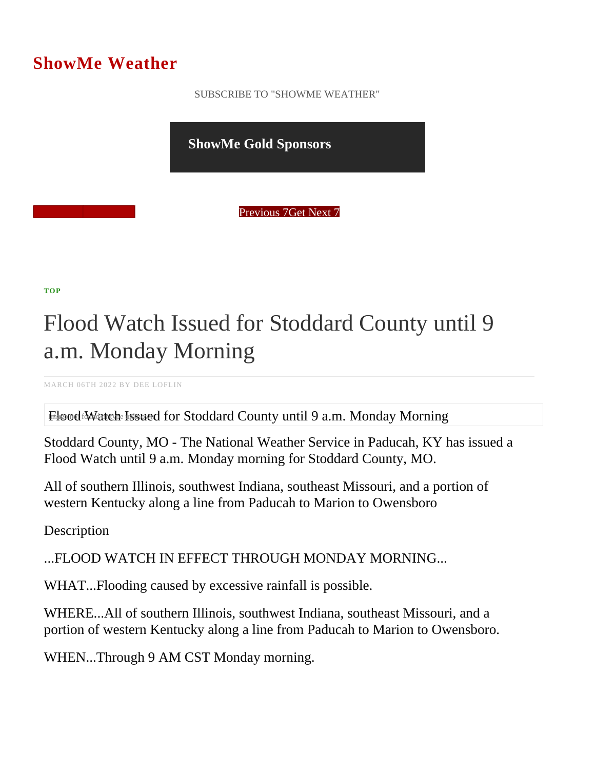## ShowMe Weather

 [SUBSCRIBE TO "SHOWME WEATHER"](/blog_rss.php)

ShowMe Gold Sponsors

Previous Get Next 7

[TOP](/var/www/showmetimes.com/root/javascript:blogScrollToTop()

## Flood Watch Issued for Stoddard County until 9 a.m. Monday Morning

MARCH 06TH 2022 BY DEE LOFLIN

Flood Watch Issued for Stoddard County until 9 a.m. Monday Morning

Stoddard County, MO - The National Weather Service in Paducah, KY has issued a Flood Watch until 9 a.m. Monday morning for Stoddard County, MO.

All of southern Illinois, southwest Indiana, southeast Missouri, and a portion of western Kentucky along a line from Paducah to Marion to Owensboro

**Description** 

...FLOOD WATCH IN EFFECT THROUGH MONDAY MORNING...

WHAT...Flooding caused by excessive rainfall is possible.

WHERE...All of southern Illinois, southwest Indiana, southeast Missouri, and a portion of western Kentucky along a line from Paducah to Marion to Owensboro.

WHEN...Through 9 AM CST Monday morning.